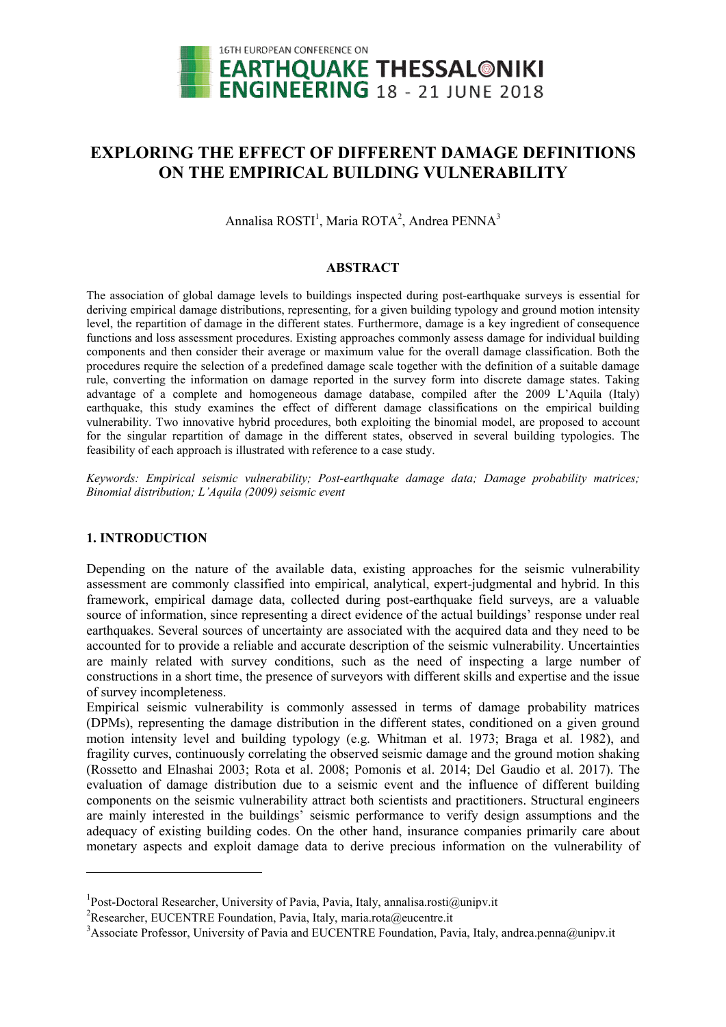

# EXPLORING THE EFFECT OF DIFFERENT DAMAGE DEF DIFFERENT DAMAGE DEFINITIONS ON THE EMPIRICAL BUILDING VULNERABILITY

Annalisa  $ROSTI<sup>1</sup>$ , Maria ROTA<sup>2</sup>, Andrea PENNA<sup>3</sup>

# ABSTRACT

The association of global damage levels to buildings inspected during post-earthquake surveys is essential for deriving empirical damage distributions, representing, for a given building typology and ground motion intensity deriving empirical damage distributions, representing, for a given building typology and ground motion intensity<br>level, the repartition of damage in the different states. Furthermore, damage is a key ingredient of conseque functions and loss assessment procedures. Existing approaches commonly assess damage for individual building components and then consider their average or maximum value for the overall damage classification. Both the procedures require the selection of a predefined damage scale together with the definition of a suitable damage procedures require the selection of a predefined damage scale together with the definition of a suitable damage<br>rule, converting the information on damage reported in the survey form into discrete damage states. Taking advantage of a complete and homogeneous damage database, compiled after the 2009 L'Aquila (Italy) earthquake, this study examines the effect of different damage classifications on the empirical building vulnerability. Two innovative hybrid procedures, both exploiting the binomial model, are for the singular repartition of damage in the different states, observed in several building typologies. The feasibility of each approach is illustrated with reference to a case study. database, compiled after the 2009 L'Aquila (Italy) nt damage classifications on the empirical building sploiting the binomial model, are proposed to account

Keywords: Empirical seismic vulnerability; Post-earthquake damage data; Damage probability matrices; *Binomial distribution; L'Aquila (2009) seismic event*

# 1. INTRODUCTION

<u>.</u>

Depending on the nature of the available data, existing approaches for the seismic vulnerability Depending on the nature of the available data, existing approaches for the seismic vulnerability assessment are commonly classified into empirical, analytical, expert-judgmental and hybrid. In this framework, empirical damage data, collected during post-earthquake field surveys, are a valuable source of information, since representing a direct evidence of the actual buildings' response under real earthquakes. Several sources of uncertainty are associated with the acquired data and they need to be accounted for to provide a reliable and accurate description of the seismic vulnerability. Uncertainties are mainly related with survey conditions, such as the need of inspecting a large number of are mainly related with survey conditions, such as the need of inspecting a large number of constructions in a short time, the presence of surveyors with different skills and expertise and the issue of survey incompleteness.

Empirical seismic vulnerability is commonly assessed in terms of d damage probability matrices (DPMs), representing the damage distribution in the different states, conditioned on a given ground motion intensity level and building typology (e.g. Whitman et al. 1973; Braga et al. 1982), and fragility curves, continuously correlating the observed seismic damage and the ground motion shaking fragility curves, continuously correlating the observed seismic damage and the ground motion shaking (Rossetto and Elnashai 2003; Rota et al. 2008; Pomonis et al. 2014; Del Gaudio et al. 2017). The (Rossetto and Elnashai 2003; Rota et al. 2008; Pomonis et al. 2014; Del Gaudio et al. 2017). The evaluation of damage distribution due to a seismic event and the influence of different building components on the seismic vulnerability attract both scientists and practitioners. Structural engineers are mainly interested in the buildings' seismic performance to verify design assumptions and the adequacy of existing building codes. On the other hand, insurance companies primarily care about monetary aspects and exploit damage data to derive precious information on the vulnerability of ts on the seismic vulnerability attract both scientists and practitioners. Structural engineers<br>
v interested in the buildings' seismic performance to verify design assumptions and the<br>
of existing building codes. On the o

 $\overline{a}$ 

<sup>&</sup>lt;sup>1</sup>Post-Doctoral Researcher, University of Pavia, Pavia, Italy, annalisa.rosti@unipv.it

<sup>&</sup>lt;sup>2</sup>Researcher, EUCENTRE Foundation, Pavia, Italy, maria.rota@eucentre.it

<sup>&</sup>lt;sup>3</sup> Associate Professor, University of Pavia and EUCENTRE Foundation, Pavia, Italy, andrea.penna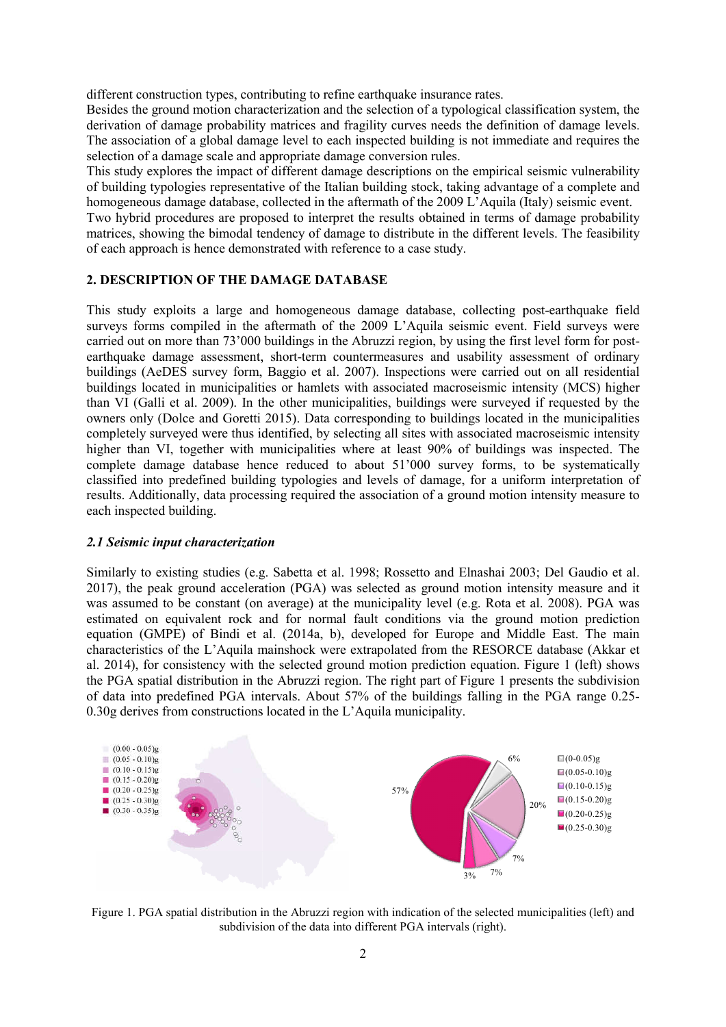different construction types, contributing to refine earthquake insurance rates.

Besides the ground motion characterization and the selection of a typological classification system system, the derivation of damage probability matrices and fragility curves needs the definition of damage levels. The association of a global damage level to each inspected building is not immediate and requires the selection of a damage scale and appropriate damage conversion rules. the definition of damage levels.<br>
It is not immediate and requires the<br>
e empirical seismic vulnerability<br>
ing advantage of a complete and

This study explores the impact of different damage descriptions on the empirical seismic vulnerability of building typologies representative of the Italian building stock, taking advantage of homogeneous damage database, collected in the aftermath of the 2009 L'Aquila (Italy) seismic event.

Two hybrid procedures are proposed to interpret the results obtained in terms of damage probability matrices, showing the bimodal tendency of damage to distribute in the different levels. The feasibility of each approach is hence demonstrated with reference to a case study. proposed to interpret the results obtained in terms of damage probability<br>dal tendency of damage to distribute in the different levels. The feasibility<br>monstrated with reference to a case study.<br>E **DAMAGE DATABASE**<br>and hom

# 2. DESCRIPTION OF THE DAMAGE DATABASE

This study exploits a large and homogeneous damage database, collecting post surveys forms compiled in the aftermath of the 2009 L'Aquila seismic event. Field surveys were carried out on more than 73'000 buildings in the Abruzzi region, by using the first level form for postearthquake damage assessment, short-term countermeasures and usability assessment of ordinary earthquake damage assessment, short-term countermeasures and usability assessment of ordinary<br>buildings (AeDES survey form, Baggio et al. 2007). Inspections were carried out on all residential buildings located in municipalities or hamlets with associated macroseismic intensity (MCS) higher buildings located in municipalities or hamlets with associated macroseismic intensity (MCS) higher than VI (Galli et al. 2009). In the other municipalities, buildings were surveyed if requested by the owners only (Dolce and Goretti 2015). Data corresponding to buildings located in the municipalities completely surveyed were thus identified, by selecting all sites with associated macroseismic intensity completely surveyed were thus identified, by selecting all sites with associated macroseismic intensity higher than VI, together with municipalities where at least 90% of buildings was inspected. The complete damage database hence reduced to about 51'000 survey forms, to be systematically classified into predefined building typologies and levels of damage, for a uniform interpretation of results. Additionally, data processing required the association of a ground motion intensity measure to each inspected building. results. Additionally, data processing required the association of a ground motion intensity measure to<br>each inspected building.<br>2.1 Seismic input characterization<br>Similarly to existing studies (e.g. Sabetta et al. 1998; R

# *2.1 Seismic input characterization*

Similarly to existing studies (e.g. Sabetta et al. 1998; Rossetto and Elnashai 2003; Del Gaudio et al. 2017), the peak ground acceleration (PGA) was selected as ground motion intensity measure and it was assumed to be constant (on average) at the municipality level (e.g. Rota et al. 2008). PGA was estimated on equivalent rock and for normal fault conditions via the ground motion prediction equation (GMPE) of Bindi et al. (2014a, b), developed for Europe and Middle East. The main characteristics of the L'Aquila mainshock were extrapolated from the RESORCE database (Akkar et al. 2014), for consistency with the selected ground motion prediction equation. Figure 1 (left) shows the PGA spatial distribution in the Abruzzi region. The right part of Figure 1 presents the subdivision the PGA spatial distribution in the Abruzzi region. The right part of Figure 1 presents the subdivision of data into predefined PGA intervals. About 57% of the buildings falling in the PGA range 0.25-0.30g derives from constructions located in the L'Aquila municipality.



Figure 1. PGA spatial distribution in the Abruzzi region with indication of the selected municipalities (left) and subdivision of the data into different PGA intervals (right).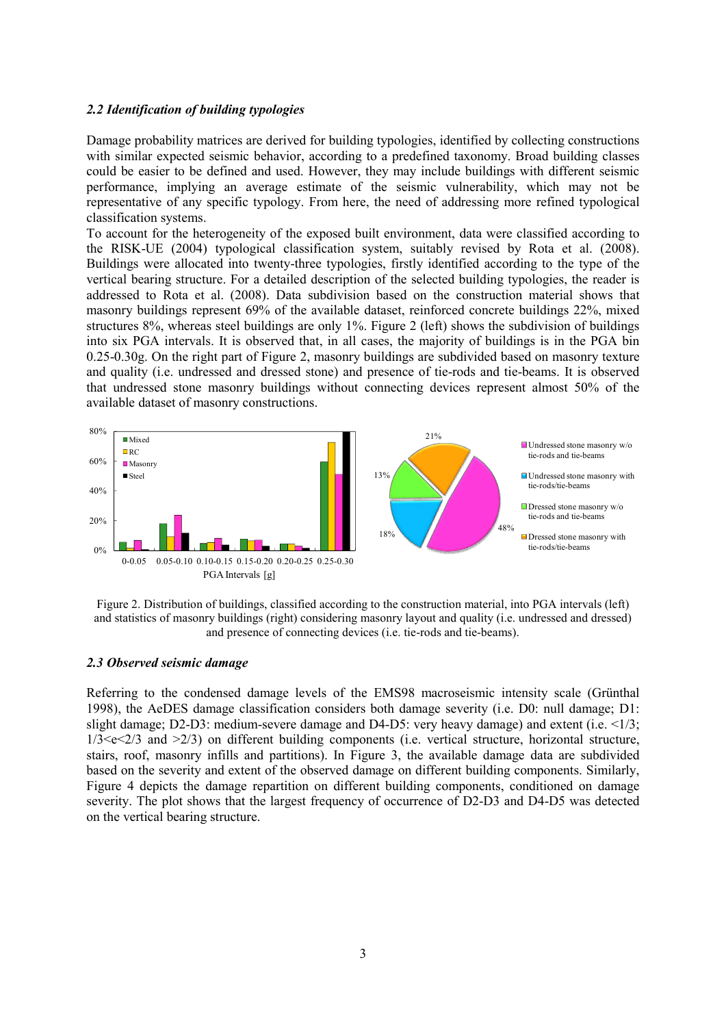#### *2.2 Identification of building typologies*

Damage probability matrices are derived for building typologies, identified by collecting constructions with similar expected seismic behavior, according to a predefined taxonomy. Broad building classes could be easier to be defined and used. However, they may include buildings with different seismic performance, implying an average estimate of the seismic vulnerability, which may not be representative of any specific typology. From here, the need of addressing more refined typological classification systems.

To account for the heterogeneity of the exposed built environment, data were classified according to the RISK-UE (2004) typological classification system, suitably revised by Rota et al. (2008). Buildings were allocated into twenty-three typologies, firstly identified according to the type of the vertical bearing structure. For a detailed description of the selected building typologies, the reader is addressed to Rota et al. (2008). Data subdivision based on the construction material shows that masonry buildings represent 69% of the available dataset, reinforced concrete buildings 22%, mixed structures 8%, whereas steel buildings are only 1%. Figure 2 (left) shows the subdivision of buildings into six PGA intervals. It is observed that, in all cases, the majority of buildings is in the PGA bin 0.25-0.30g. On the right part of Figure 2, masonry buildings are subdivided based on masonry texture and quality (i.e. undressed and dressed stone) and presence of tie-rods and tie-beams. It is observed that undressed stone masonry buildings without connecting devices represent almost 50% of the available dataset of masonry constructions.



Figure 2. Distribution of buildings, classified according to the construction material, into PGA intervals (left) and statistics of masonry buildings (right) considering masonry layout and quality (i.e. undressed and dressed) and presence of connecting devices (i.e. tie-rods and tie-beams).

#### *2.3 Observed seismic damage*

Referring to the condensed damage levels of the EMS98 macroseismic intensity scale (Grünthal 1998), the AeDES damage classification considers both damage severity (i.e. D0: null damage; D1: slight damage; D2-D3: medium-severe damage and D4-D5: very heavy damage) and extent (i.e.  $\leq$ 1/3;  $1/3 < e < 2/3$  and  $\geq 2/3$ ) on different building components (i.e. vertical structure, horizontal structure, stairs, roof, masonry infills and partitions). In Figure 3, the available damage data are subdivided based on the severity and extent of the observed damage on different building components. Similarly, Figure 4 depicts the damage repartition on different building components, conditioned on damage severity. The plot shows that the largest frequency of occurrence of D2-D3 and D4-D5 was detected on the vertical bearing structure.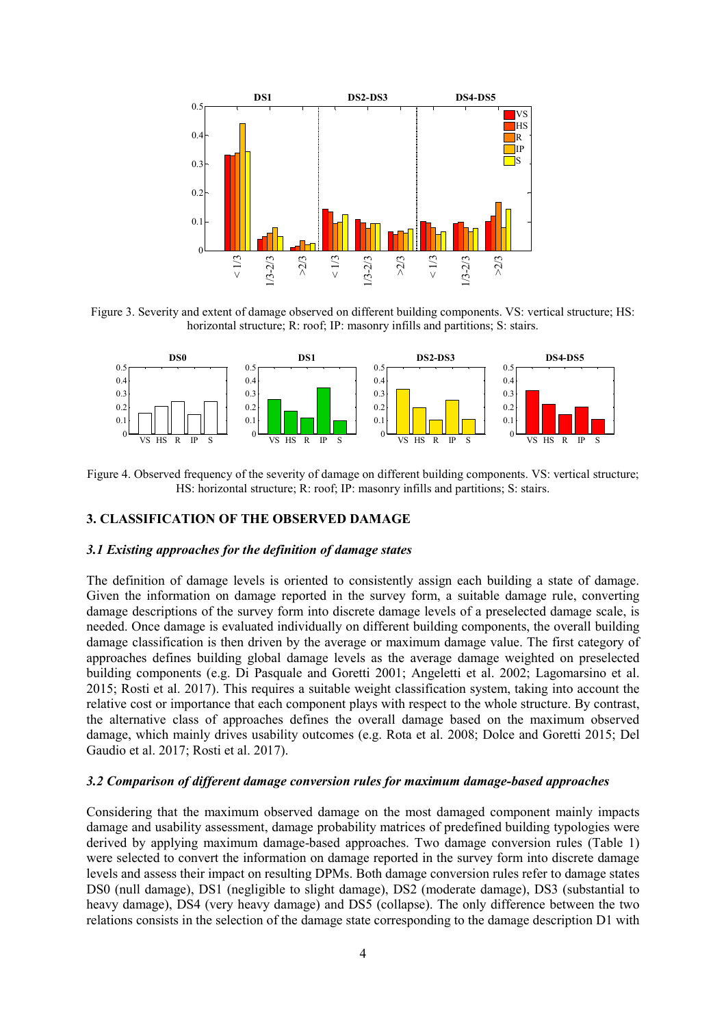

Figure 3. Severity and extent of damage observed on different building components. VS: vertical structure; HS: horizontal structure; R: roof; IP: masonry infills and partitions; S: stairs.



Figure 4. Observed frequency of the severity of damage on different building components. VS: vertical structure; HS: horizontal structure; R: roof; IP: masonry infills and partitions; S: stairs.

# 3. CLASSIFICATION OF THE OBSERVED DAMAGE

#### *3.1 Existing approaches for the definition of damage states*

The definition of damage levels is oriented to consistently assign each building a state of damage. Given the information on damage reported in the survey form, a suitable damage rule, converting damage descriptions of the survey form into discrete damage levels of a preselected damage scale, is needed. Once damage is evaluated individually on different building components, the overall building damage classification is then driven by the average or maximum damage value. The first category of approaches defines building global damage levels as the average damage weighted on preselected building components (e.g. Di Pasquale and Goretti 2001; Angeletti et al. 2002; Lagomarsino et al. 2015; Rosti et al. 2017). This requires a suitable weight classification system, taking into account the relative cost or importance that each component plays with respect to the whole structure. By contrast, the alternative class of approaches defines the overall damage based on the maximum observed damage, which mainly drives usability outcomes (e.g. Rota et al. 2008; Dolce and Goretti 2015; Del Gaudio et al. 2017; Rosti et al. 2017).

# *3.2 Comparison of different damage conversion rules for maximum damage-based approaches*

Considering that the maximum observed damage on the most damaged component mainly impacts damage and usability assessment, damage probability matrices of predefined building typologies were derived by applying maximum damage-based approaches. Two damage conversion rules (Table 1) were selected to convert the information on damage reported in the survey form into discrete damage levels and assess their impact on resulting DPMs. Both damage conversion rules refer to damage states DS0 (null damage), DS1 (negligible to slight damage), DS2 (moderate damage), DS3 (substantial to heavy damage), DS4 (very heavy damage) and DS5 (collapse). The only difference between the two relations consists in the selection of the damage state corresponding to the damage description D1 with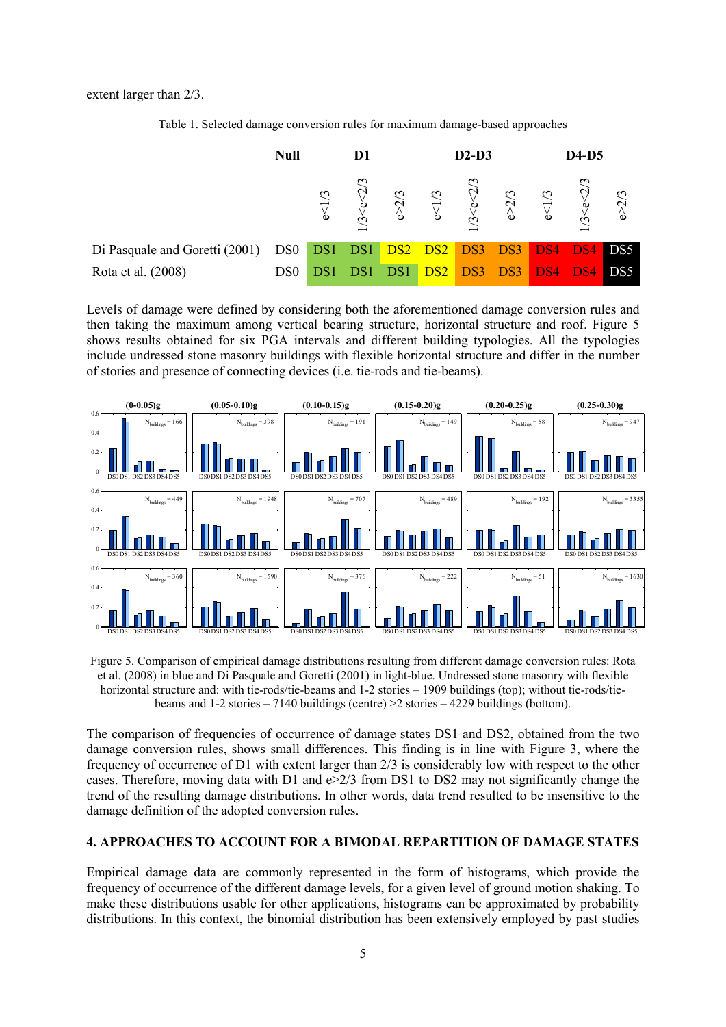extent larger than 2/3.

|                                | <b>Null</b>     | D1        |                           |            | $D2-D3$   |                 |           | <b>D4-D5</b>    |                 |                                         |
|--------------------------------|-----------------|-----------|---------------------------|------------|-----------|-----------------|-----------|-----------------|-----------------|-----------------------------------------|
|                                |                 | 51/3<br>Φ | $\widetilde{\phantom{a}}$ | 2/3<br>'و∕ | 51/3<br>٥ | ب<br>$\epsilon$ | 2/3<br>٬۵ | e<1/3           | $\epsilon$      | $\epsilon$<br>$\mathbf 2$<br>$\Diamond$ |
| Di Pasquale and Goretti (2001) | DS0             |           | DS1 DS1                   |            |           | DS2 DS2 DS3     | DS3       | D <sub>S4</sub> | D <sub>S4</sub> | DS5                                     |
| Rota et al. (2008)             | DS <sub>0</sub> |           |                           |            |           | DS2 DS3         | DS3       | DS4             |                 | DS5                                     |

Table 1. Selected damage conversion rules for maximum damage-based approaches

Levels of damage were defined by considering both the aforementioned damage conversion rules and then taking the maximum among vertical bearing structure, horizontal structure and roof. Figure 5 shows results obtained for six PGA intervals and different building typologies. All the typologies include undressed stone masonry buildings with flexible horizontal structure and differ in the number of stories and presence of connecting devices (i.e. tie-rods and tie-beams).



Figure 5. Comparison of empirical damage distributions resulting from different damage conversion rules: Rota et al. (2008) in blue and Di Pasquale and Goretti (2001) in light-blue. Undressed stone masonry with flexible horizontal structure and: with tie-rods/tie-beams and 1-2 stories – 1909 buildings (top); without tie-rods/tiebeams and 1-2 stories – 7140 buildings (centre) >2 stories – 4229 buildings (bottom).

The comparison of frequencies of occurrence of damage states DS1 and DS2, obtained from the two damage conversion rules, shows small differences. This finding is in line with Figure 3, where the frequency of occurrence of D1 with extent larger than 2/3 is considerably low with respect to the other cases. Therefore, moving data with D1 and e>2/3 from DS1 to DS2 may not significantly change the trend of the resulting damage distributions. In other words, data trend resulted to be insensitive to the damage definition of the adopted conversion rules.

# 4. APPROACHES TO ACCOUNT FOR A BIMODAL REPARTITION OF DAMAGE STATES

Empirical damage data are commonly represented in the form of histograms, which provide the frequency of occurrence of the different damage levels, for a given level of ground motion shaking. To make these distributions usable for other applications, histograms can be approximated by probability distributions. In this context, the binomial distribution has been extensively employed by past studies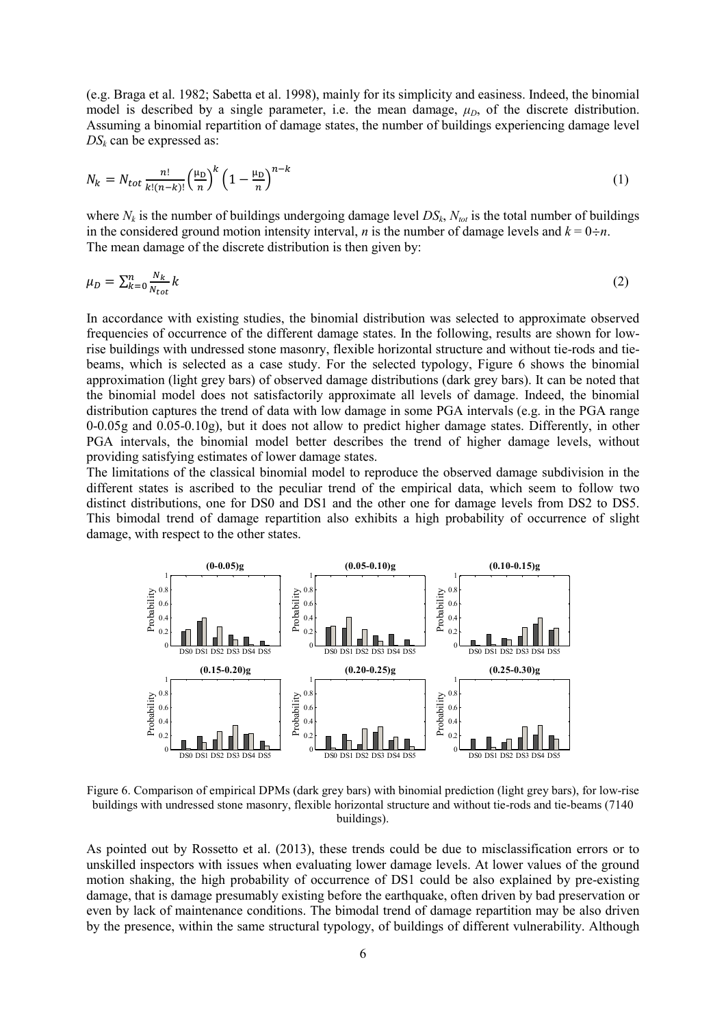(e.g. Braga et al. 1982; Sabetta et al. 1998), mainly for its simplicity and easiness. Indeed, the binomial model is described by a single parameter, i.e. the mean damage,  $\mu_D$ , of the discrete distribution. Assuming a binomial repartition of damage states, the number of buildings experiencing damage level  $DS_k$  can be expressed as:

$$
N_k = N_{tot} \frac{n!}{k!(n-k)!} \left(\frac{\mu_D}{n}\right)^k \left(1 - \frac{\mu_D}{n}\right)^{n-k} \tag{1}
$$

where  $N_k$  is the number of buildings undergoing damage level  $DS_k$ ,  $N_{tot}$  is the total number of buildings in the considered ground motion intensity interval, *n* is the number of damage levels and  $k = 0 \div n$ . The mean damage of the discrete distribution is then given by:

$$
\mu_D = \sum_{k=0}^{n} \frac{N_k}{N_{tot}} k \tag{2}
$$

In accordance with existing studies, the binomial distribution was selected to approximate observed frequencies of occurrence of the different damage states. In the following, results are shown for lowrise buildings with undressed stone masonry, flexible horizontal structure and without tie-rods and tiebeams, which is selected as a case study. For the selected typology, Figure 6 shows the binomial approximation (light grey bars) of observed damage distributions (dark grey bars). It can be noted that the binomial model does not satisfactorily approximate all levels of damage. Indeed, the binomial distribution captures the trend of data with low damage in some PGA intervals (e.g. in the PGA range 0-0.05g and 0.05-0.10g), but it does not allow to predict higher damage states. Differently, in other PGA intervals, the binomial model better describes the trend of higher damage levels, without providing satisfying estimates of lower damage states.

The limitations of the classical binomial model to reproduce the observed damage subdivision in the different states is ascribed to the peculiar trend of the empirical data, which seem to follow two distinct distributions, one for DS0 and DS1 and the other one for damage levels from DS2 to DS5. This bimodal trend of damage repartition also exhibits a high probability of occurrence of slight damage, with respect to the other states.



Figure 6. Comparison of empirical DPMs (dark grey bars) with binomial prediction (light grey bars), for low-rise buildings with undressed stone masonry, flexible horizontal structure and without tie-rods and tie-beams (7140 buildings).

As pointed out by Rossetto et al. (2013), these trends could be due to misclassification errors or to unskilled inspectors with issues when evaluating lower damage levels. At lower values of the ground motion shaking, the high probability of occurrence of DS1 could be also explained by pre-existing damage, that is damage presumably existing before the earthquake, often driven by bad preservation or even by lack of maintenance conditions. The bimodal trend of damage repartition may be also driven by the presence, within the same structural typology, of buildings of different vulnerability. Although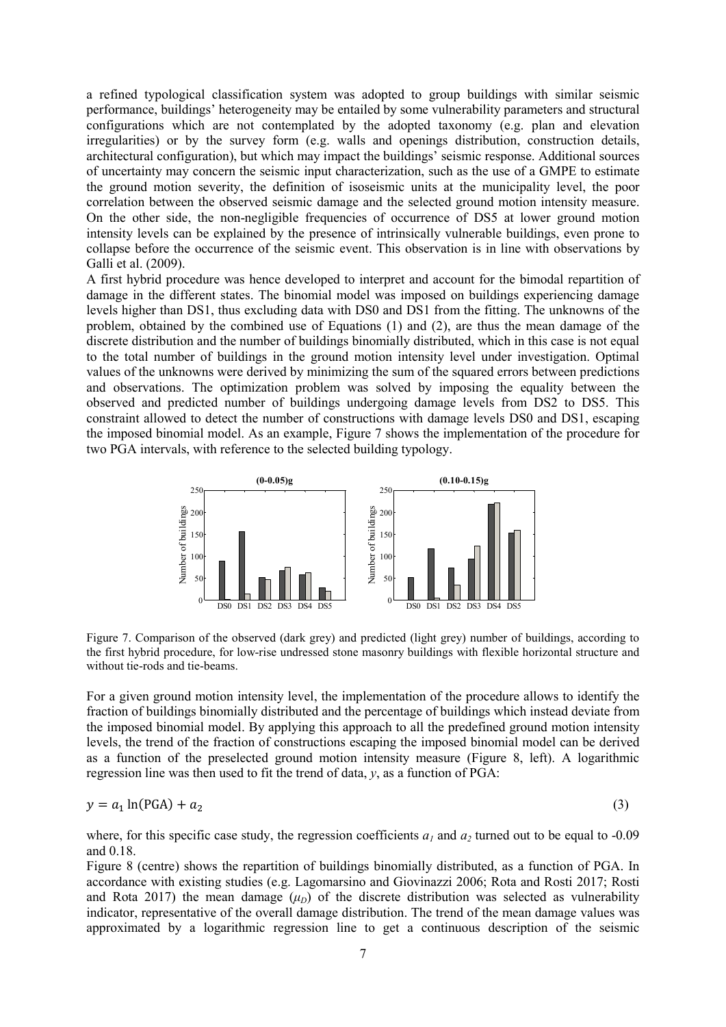a refined typological classification system was adopted to group buildings with similar seismic performance, buildings' heterogeneity may be entailed by some vulnerability parameters and structural configurations which are not contemplated by the adopted taxonomy (e.g. plan and elevation irregularities) or by the survey form (e.g. walls and openings distribution, construction details, architectural configuration), but which may impact the buildings' seismic response. Additional sources of uncertainty may concern the seismic input characterization, such as the use of a GMPE to estimate the ground motion severity, the definition of isoseismic units at the municipality level, the poor correlation between the observed seismic damage and the selected ground motion intensity measure. On the other side, the non-negligible frequencies of occurrence of DS5 at lower ground motion intensity levels can be explained by the presence of intrinsically vulnerable buildings, even prone to collapse before the occurrence of the seismic event. This observation is in line with observations by Galli et al. (2009).

A first hybrid procedure was hence developed to interpret and account for the bimodal repartition of damage in the different states. The binomial model was imposed on buildings experiencing damage levels higher than DS1, thus excluding data with DS0 and DS1 from the fitting. The unknowns of the problem, obtained by the combined use of Equations (1) and (2), are thus the mean damage of the discrete distribution and the number of buildings binomially distributed, which in this case is not equal to the total number of buildings in the ground motion intensity level under investigation. Optimal values of the unknowns were derived by minimizing the sum of the squared errors between predictions and observations. The optimization problem was solved by imposing the equality between the observed and predicted number of buildings undergoing damage levels from DS2 to DS5. This constraint allowed to detect the number of constructions with damage levels DS0 and DS1, escaping the imposed binomial model. As an example, Figure 7 shows the implementation of the procedure for two PGA intervals, with reference to the selected building typology.



Figure 7. Comparison of the observed (dark grey) and predicted (light grey) number of buildings, according to the first hybrid procedure, for low-rise undressed stone masonry buildings with flexible horizontal structure and without tie-rods and tie-beams.

For a given ground motion intensity level, the implementation of the procedure allows to identify the fraction of buildings binomially distributed and the percentage of buildings which instead deviate from the imposed binomial model. By applying this approach to all the predefined ground motion intensity levels, the trend of the fraction of constructions escaping the imposed binomial model can be derived as a function of the preselected ground motion intensity measure (Figure 8, left). A logarithmic regression line was then used to fit the trend of data, *y*, as a function of PGA:

$$
y = a_1 \ln(\text{PGA}) + a_2 \tag{3}
$$

where, for this specific case study, the regression coefficients  $a<sub>i</sub>$  and  $a<sub>2</sub>$  turned out to be equal to -0.09 and 0.18.

Figure 8 (centre) shows the repartition of buildings binomially distributed, as a function of PGA. In accordance with existing studies (e.g. Lagomarsino and Giovinazzi 2006; Rota and Rosti 2017; Rosti and Rota 2017) the mean damage  $(\mu_D)$  of the discrete distribution was selected as vulnerability indicator, representative of the overall damage distribution. The trend of the mean damage values was approximated by a logarithmic regression line to get a continuous description of the seismic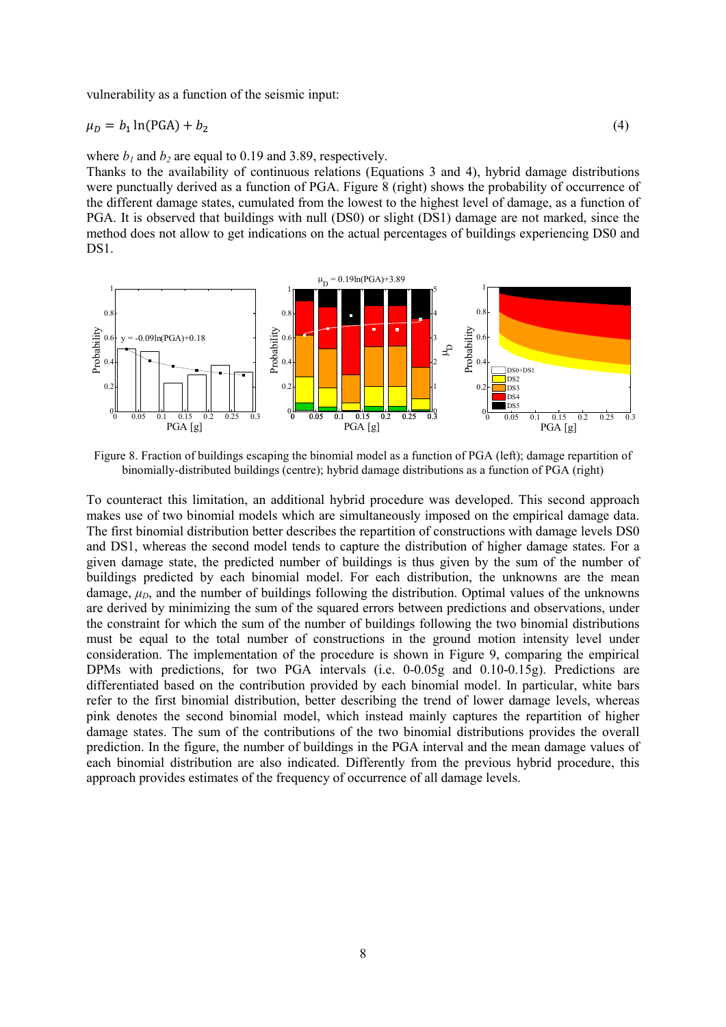vulnerability as a function of the seismic input:

$$
\mu_D = b_1 \ln(\text{PGA}) + b_2 \tag{4}
$$

where  $b_1$  and  $b_2$  are equal to 0.19 and 3.89, respectively.

Thanks to the availability of continuous relations (Equations 3 and 4), hybrid damage distributions were punctually derived as a function of PGA. Figure 8 (right) shows the probability of occurrence of the different damage states, cumulated from the lowest to the highest level of damage, as a function of PGA. It is observed that buildings with null (DS0) or slight (DS1) damage are not marked, since the method does not allow to get indications on the actual percentages of buildings experiencing DS0 and DS<sub>1</sub>.



Figure 8. Fraction of buildings escaping the binomial model as a function of PGA (left); damage repartition of binomially-distributed buildings (centre); hybrid damage distributions as a function of PGA (right)

To counteract this limitation, an additional hybrid procedure was developed. This second approach makes use of two binomial models which are simultaneously imposed on the empirical damage data. The first binomial distribution better describes the repartition of constructions with damage levels DS0 and DS1, whereas the second model tends to capture the distribution of higher damage states. For a given damage state, the predicted number of buildings is thus given by the sum of the number of buildings predicted by each binomial model. For each distribution, the unknowns are the mean damage,  $\mu_D$ , and the number of buildings following the distribution. Optimal values of the unknowns are derived by minimizing the sum of the squared errors between predictions and observations, under the constraint for which the sum of the number of buildings following the two binomial distributions must be equal to the total number of constructions in the ground motion intensity level under consideration. The implementation of the procedure is shown in Figure 9, comparing the empirical DPMs with predictions, for two PGA intervals (i.e. 0-0.05g and 0.10-0.15g). Predictions are differentiated based on the contribution provided by each binomial model. In particular, white bars refer to the first binomial distribution, better describing the trend of lower damage levels, whereas pink denotes the second binomial model, which instead mainly captures the repartition of higher damage states. The sum of the contributions of the two binomial distributions provides the overall prediction. In the figure, the number of buildings in the PGA interval and the mean damage values of each binomial distribution are also indicated. Differently from the previous hybrid procedure, this approach provides estimates of the frequency of occurrence of all damage levels.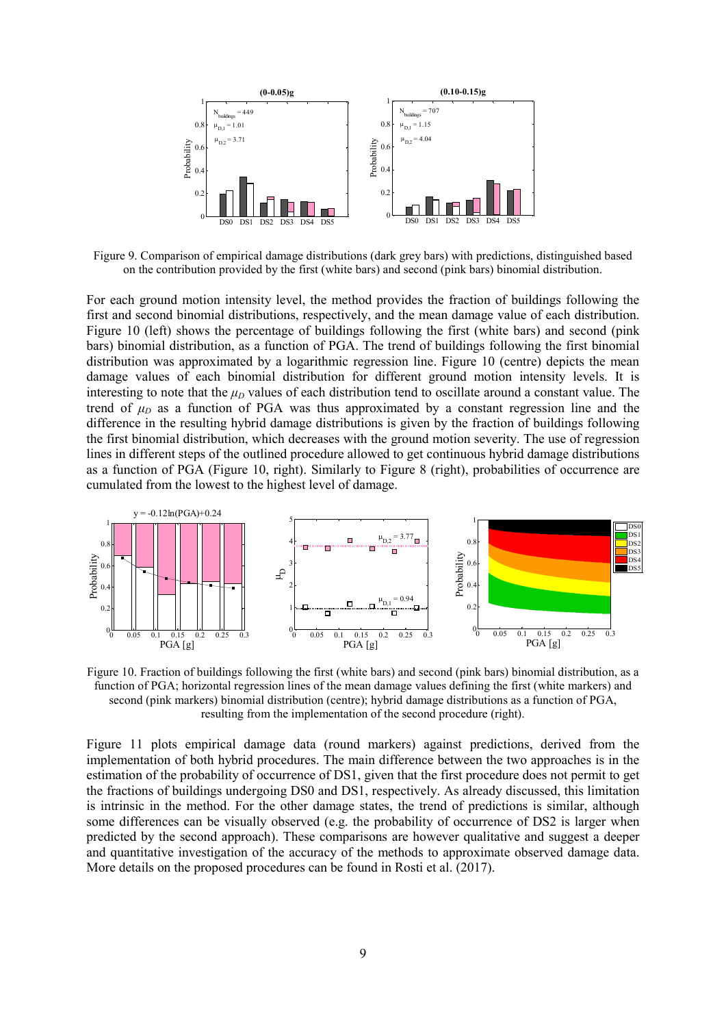

Figure 9. Comparison of empirical damage distributions (dark grey bars) with predictions, distinguished based on the contribution provided by the first (white bars) and second (pink bars) binomial distribution.

For each ground motion intensity level, the method provides the fraction of buildings following the first and second binomial distributions, respectively, and the mean damage value of each distribution. Figure 10 (left) shows the percentage of buildings following the first (white bars) and second (pink bars) binomial distribution, as a function of PGA. The trend of buildings following the first binomial distribution was approximated by a logarithmic regression line. Figure 10 (centre) depicts the mean damage values of each binomial distribution for different ground motion intensity levels. It is interesting to note that the  $\mu_D$  values of each distribution tend to oscillate around a constant value. The trend of  $\mu_D$  as a function of PGA was thus approximated by a constant regression line and the difference in the resulting hybrid damage distributions is given by the fraction of buildings following the first binomial distribution, which decreases with the ground motion severity. The use of regression lines in different steps of the outlined procedure allowed to get continuous hybrid damage distributions as a function of PGA (Figure 10, right). Similarly to Figure 8 (right), probabilities of occurrence are cumulated from the lowest to the highest level of damage.



Figure 10. Fraction of buildings following the first (white bars) and second (pink bars) binomial distribution, as a function of PGA; horizontal regression lines of the mean damage values defining the first (white markers) and second (pink markers) binomial distribution (centre); hybrid damage distributions as a function of PGA, resulting from the implementation of the second procedure (right).

Figure 11 plots empirical damage data (round markers) against predictions, derived from the implementation of both hybrid procedures. The main difference between the two approaches is in the estimation of the probability of occurrence of DS1, given that the first procedure does not permit to get the fractions of buildings undergoing DS0 and DS1, respectively. As already discussed, this limitation is intrinsic in the method. For the other damage states, the trend of predictions is similar, although some differences can be visually observed (e.g. the probability of occurrence of DS2 is larger when predicted by the second approach). These comparisons are however qualitative and suggest a deeper and quantitative investigation of the accuracy of the methods to approximate observed damage data. More details on the proposed procedures can be found in Rosti et al. (2017).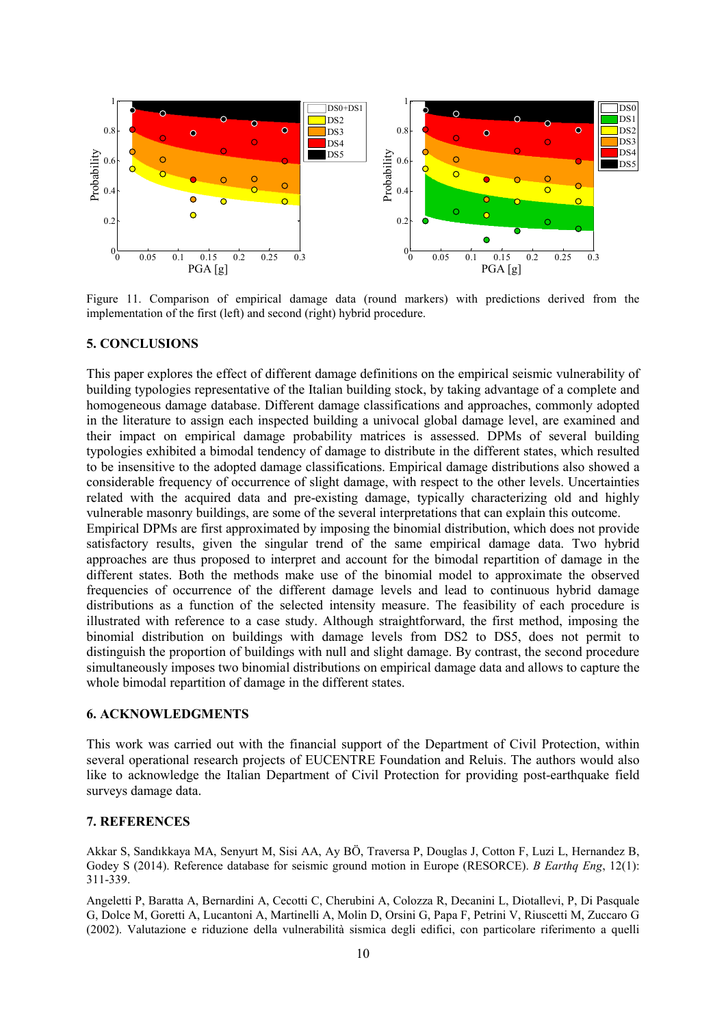

Figure 11. Comparison of empirical damage data (round markers) with predictions derived from the implementation of the first (left) and second (right) hybrid procedure.

# 5. CONCLUSIONS

This paper explores the effect of different damage definitions on the empirical seismic vulnerability of building typologies representative of the Italian building stock, by taking advantage of a complete and homogeneous damage database. Different damage classifications and approaches, commonly adopted in the literature to assign each inspected building a univocal global damage level, are examined and their impact on empirical damage probability matrices is assessed. DPMs of several building typologies exhibited a bimodal tendency of damage to distribute in the different states, which resulted to be insensitive to the adopted damage classifications. Empirical damage distributions also showed a considerable frequency of occurrence of slight damage, with respect to the other levels. Uncertainties related with the acquired data and pre-existing damage, typically characterizing old and highly vulnerable masonry buildings, are some of the several interpretations that can explain this outcome.

Empirical DPMs are first approximated by imposing the binomial distribution, which does not provide satisfactory results, given the singular trend of the same empirical damage data. Two hybrid approaches are thus proposed to interpret and account for the bimodal repartition of damage in the different states. Both the methods make use of the binomial model to approximate the observed frequencies of occurrence of the different damage levels and lead to continuous hybrid damage distributions as a function of the selected intensity measure. The feasibility of each procedure is illustrated with reference to a case study. Although straightforward, the first method, imposing the binomial distribution on buildings with damage levels from DS2 to DS5, does not permit to distinguish the proportion of buildings with null and slight damage. By contrast, the second procedure simultaneously imposes two binomial distributions on empirical damage data and allows to capture the whole bimodal repartition of damage in the different states.

# 6. ACKNOWLEDGMENTS

This work was carried out with the financial support of the Department of Civil Protection, within several operational research projects of EUCENTRE Foundation and Reluis. The authors would also like to acknowledge the Italian Department of Civil Protection for providing post-earthquake field surveys damage data.

# 7. REFERENCES

Akkar S, Sandıkkaya MA, Senyurt M, Sisi AA, Ay BÖ, Traversa P, Douglas J, Cotton F, Luzi L, Hernandez B, Godey S (2014). Reference database for seismic ground motion in Europe (RESORCE). *B Earthq Eng*, 12(1): 311-339.

Angeletti P, Baratta A, Bernardini A, Cecotti C, Cherubini A, Colozza R, Decanini L, Diotallevi, P, Di Pasquale G, Dolce M, Goretti A, Lucantoni A, Martinelli A, Molin D, Orsini G, Papa F, Petrini V, Riuscetti M, Zuccaro G (2002). Valutazione e riduzione della vulnerabilità sismica degli edifici, con particolare riferimento a quelli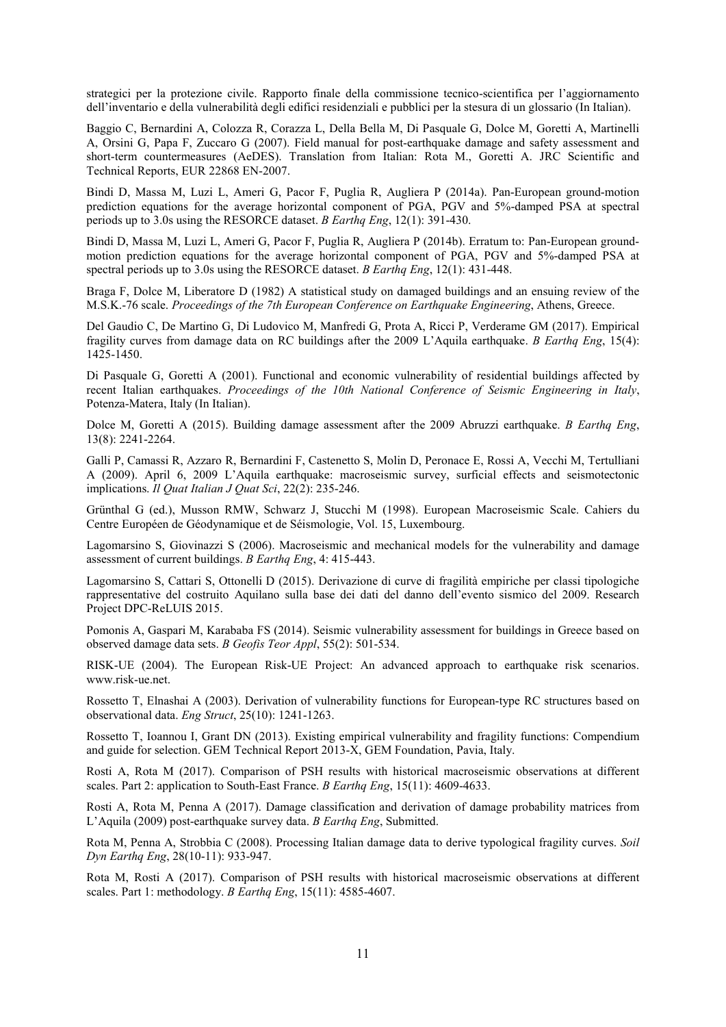strategici per la protezione civile. Rapporto finale della commissione tecnico-scientifica per l'aggiornamento dell'inventario e della vulnerabilità degli edifici residenziali e pubblici per la stesura di un glossario (In Italian).

Baggio C, Bernardini A, Colozza R, Corazza L, Della Bella M, Di Pasquale G, Dolce M, Goretti A, Martinelli A, Orsini G, Papa F, Zuccaro G (2007). Field manual for post-earthquake damage and safety assessment and short-term countermeasures (AeDES). Translation from Italian: Rota M., Goretti A. JRC Scientific and Technical Reports, EUR 22868 EN-2007.

Bindi D, Massa M, Luzi L, Ameri G, Pacor F, Puglia R, Augliera P (2014a). Pan-European ground-motion prediction equations for the average horizontal component of PGA, PGV and 5%-damped PSA at spectral periods up to 3.0s using the RESORCE dataset. *B Earthq Eng*, 12(1): 391-430.

Bindi D, Massa M, Luzi L, Ameri G, Pacor F, Puglia R, Augliera P (2014b). Erratum to: Pan-European groundmotion prediction equations for the average horizontal component of PGA, PGV and 5%-damped PSA at spectral periods up to 3.0s using the RESORCE dataset. *B Earthq Eng*, 12(1): 431-448.

Braga F, Dolce M, Liberatore D (1982) A statistical study on damaged buildings and an ensuing review of the M.S.K.-76 scale. *Proceedings of the 7th European Conference on Earthquake Engineering*, Athens, Greece.

Del Gaudio C, De Martino G, Di Ludovico M, Manfredi G, Prota A, Ricci P, Verderame GM (2017). Empirical fragility curves from damage data on RC buildings after the 2009 L'Aquila earthquake. *B Earthq Eng*, 15(4): 1425-1450.

Di Pasquale G, Goretti A (2001). Functional and economic vulnerability of residential buildings affected by recent Italian earthquakes. *Proceedings of the 10th National Conference of Seismic Engineering in Italy*, Potenza-Matera, Italy (In Italian).

Dolce M, Goretti A (2015). Building damage assessment after the 2009 Abruzzi earthquake. *B Eartha Eng*, 13(8): 2241-2264.

Galli P, Camassi R, Azzaro R, Bernardini F, Castenetto S, Molin D, Peronace E, Rossi A, Vecchi M, Tertulliani A (2009). April 6, 2009 L'Aquila earthquake: macroseismic survey, surficial effects and seismotectonic implications. *Il Quat Italian J Quat Sci*, 22(2): 235-246.

Grünthal G (ed.), Musson RMW, Schwarz J, Stucchi M (1998). European Macroseismic Scale. Cahiers du Centre Européen de Géodynamique et de Séismologie, Vol. 15, Luxembourg.

Lagomarsino S, Giovinazzi S (2006). Macroseismic and mechanical models for the vulnerability and damage assessment of current buildings. *B Earthq Eng*, 4: 415-443.

Lagomarsino S, Cattari S, Ottonelli D (2015). Derivazione di curve di fragilità empiriche per classi tipologiche rappresentative del costruito Aquilano sulla base dei dati del danno dell'evento sismico del 2009. Research Project DPC-ReLUIS 2015.

Pomonis A, Gaspari M, Karababa FS (2014). Seismic vulnerability assessment for buildings in Greece based on observed damage data sets. *B Geofis Teor Appl*, 55(2): 501-534.

RISK-UE (2004). The European Risk-UE Project: An advanced approach to earthquake risk scenarios. www.risk-ue.net.

Rossetto T, Elnashai A (2003). Derivation of vulnerability functions for European-type RC structures based on observational data. *Eng Struct*, 25(10): 1241-1263.

Rossetto T, Ioannou I, Grant DN (2013). Existing empirical vulnerability and fragility functions: Compendium and guide for selection. GEM Technical Report 2013-X, GEM Foundation, Pavia, Italy.

Rosti A, Rota M (2017). Comparison of PSH results with historical macroseismic observations at different scales. Part 2: application to South-East France. *B Earthq Eng*, 15(11): 4609-4633.

Rosti A, Rota M, Penna A (2017). Damage classification and derivation of damage probability matrices from L'Aquila (2009) post-earthquake survey data. *B Earthq Eng*, Submitted.

Rota M, Penna A, Strobbia C (2008). Processing Italian damage data to derive typological fragility curves. *Soil Dyn Earthq Eng*, 28(10-11): 933-947.

Rota M, Rosti A (2017). Comparison of PSH results with historical macroseismic observations at different scales. Part 1: methodology. *B Earthq Eng*, 15(11): 4585-4607.